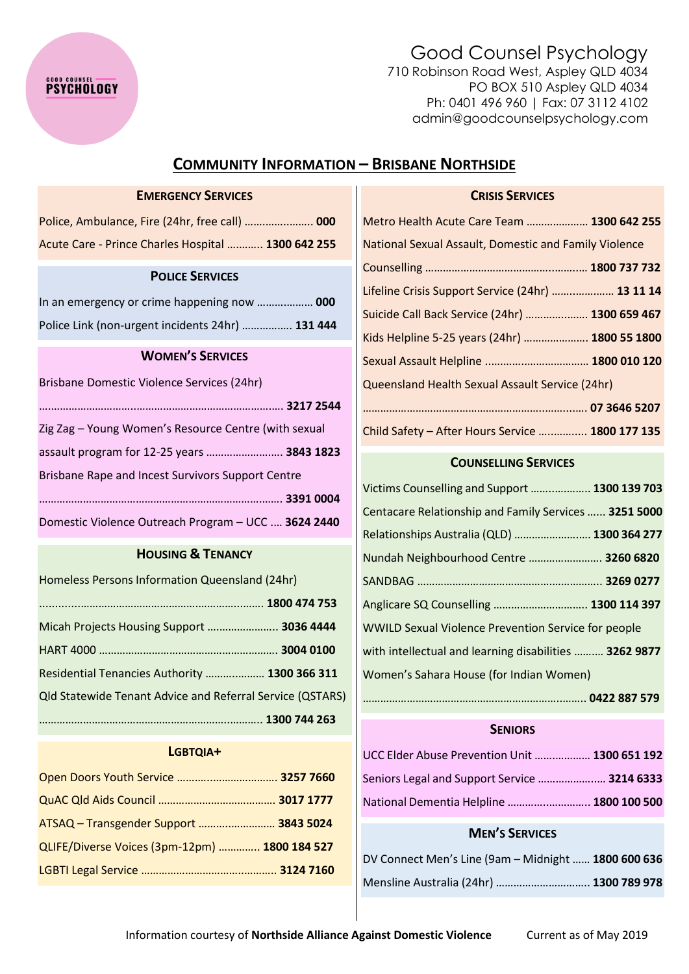# Good Counsel Psychology

710 Robinson Road West, Aspley QLD 4034 PO BOX 510 Aspley QLD 4034 Ph: 0401 496 960 | Fax: 07 3112 4102 admin@goodcounselpsychology.com

## **COMMUNITY INFORMATION – BRISBANE NORTHSIDE**

## **EMERGENCY SERVICES**

**PSYCHOLOGY** 

| Police, Ambulance, Fire (24hr, free call)  000     |  |
|----------------------------------------------------|--|
| Acute Care - Prince Charles Hospital  1300 642 255 |  |

#### **POLICE SERVICES**

| In an emergency or crime happening now  000      |  |
|--------------------------------------------------|--|
| Police Link (non-urgent incidents 24hr)  131 444 |  |

#### **WOMEN'S SERVICES**

| Brisbane Domestic Violence Services (24hr)           |
|------------------------------------------------------|
|                                                      |
| Zig Zag - Young Women's Resource Centre (with sexual |
| assault program for 12-25 years  3843 1823           |
| Brisbane Rape and Incest Survivors Support Centre    |
|                                                      |
| Domestic Violence Outreach Program - UCC  3624 2440  |

## **HOUSING & TENANCY**

| Homeless Persons Information Queensland (24hr)                   |  |
|------------------------------------------------------------------|--|
|                                                                  |  |
| Micah Projects Housing Support  3036 4444                        |  |
|                                                                  |  |
| Residential Tenancies Authority  1300 366 311                    |  |
| <b>Qld Statewide Tenant Advice and Referral Service (QSTARS)</b> |  |
|                                                                  |  |

### **LGBTQIA+**

| Open Doors Youth Service  3257 7660           |  |
|-----------------------------------------------|--|
|                                               |  |
| ATSAQ - Transgender Support  3843 5024        |  |
| QLIFE/Diverse Voices (3pm-12pm)  1800 184 527 |  |
|                                               |  |

| Metro Health Acute Care Team  1300 642 255            |
|-------------------------------------------------------|
| National Sexual Assault, Domestic and Family Violence |
|                                                       |
| Lifeline Crisis Support Service (24hr)  13 11 14      |
| Suicide Call Back Service (24hr)  1300 659 467        |
| Kids Helpline 5-25 years (24hr)  1800 55 1800         |
| Sexual Assault Helpline  1800 010 120                 |
| Queensland Health Sexual Assault Service (24hr)       |
|                                                       |
| Child Safety - After Hours Service  1800 177 135      |

**CRISIS SERVICES**

#### **COUNSELLING SERVICES**

| Victims Counselling and Support  1300 139 703          |
|--------------------------------------------------------|
| Centacare Relationship and Family Services  3251 5000  |
| Relationships Australia (QLD)  1300 364 277            |
| Nundah Neighbourhood Centre  3260 6820                 |
|                                                        |
| Anglicare SQ Counselling  1300 114 397                 |
| WWILD Sexual Violence Prevention Service for people    |
| with intellectual and learning disabilities  3262 9877 |
| Women's Sahara House (for Indian Women)                |
|                                                        |

## **SENIORS**

| UCC Elder Abuse Prevention Unit  1300 651 192 |  |
|-----------------------------------------------|--|
| Seniors Legal and Support Service  3214 6333  |  |
| National Dementia Helpline  1800 100 500      |  |

## **MEN'S SERVICES**

| DV Connect Men's Line (9am - Midnight  1800 600 636 |  |
|-----------------------------------------------------|--|
| Mensline Australia (24hr)  1300 789 978             |  |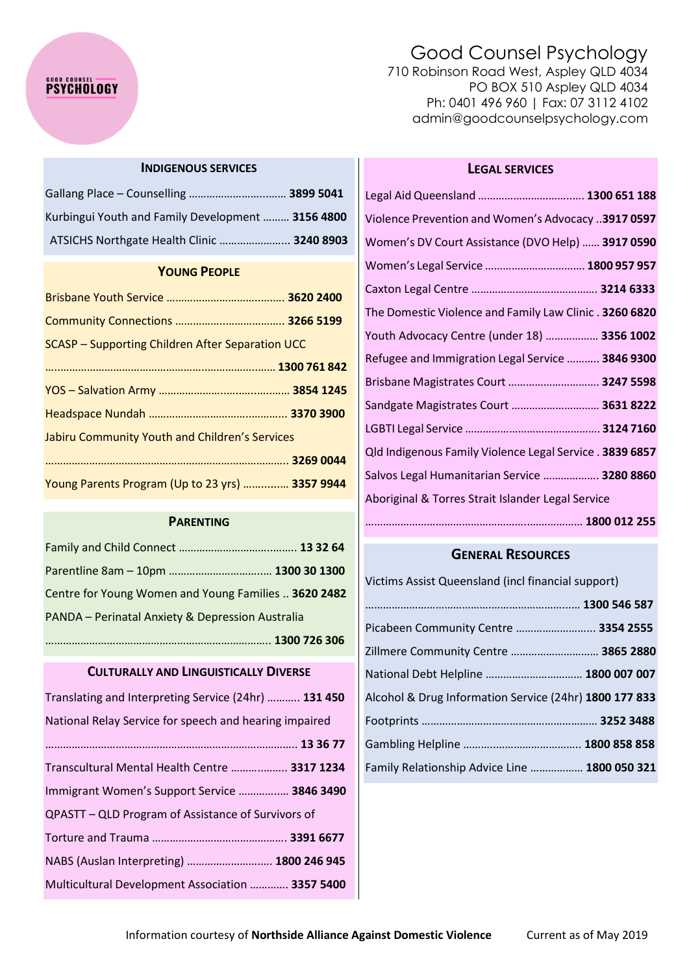# **PSYCHOLOGY**

# Good Counsel Psychology

710 Robinson Road West, Aspley QLD 4034 PO BOX 510 Aspley QLD 4034 Ph: 0401 496 960 | Fax: 07 3112 4102 admin@goodcounselpsychology.com

#### **INDIGENOUS SERVICES**

| Kurbingui Youth and Family Development  3156 4800 |  |
|---------------------------------------------------|--|
| ATSICHS Northgate Health Clinic  3240 8903        |  |

## **YOUNG PEOPLE**

| <b>SCASP</b> – Supporting Children After Separation UCC |  |
|---------------------------------------------------------|--|
|                                                         |  |
|                                                         |  |
|                                                         |  |
| Jabiru Community Youth and Children's Services          |  |
|                                                         |  |
| Young Parents Program (Up to 23 yrs)  3357 9944         |  |

#### **PARENTING**

| Centre for Young Women and Young Families  3620 2482 |  |
|------------------------------------------------------|--|
| PANDA - Perinatal Anxiety & Depression Australia     |  |
|                                                      |  |

#### **CULTURALLY AND LINGUISTICALLY DIVERSE**

| Translating and Interpreting Service (24hr)  131 450   |  |  |
|--------------------------------------------------------|--|--|
| National Relay Service for speech and hearing impaired |  |  |
|                                                        |  |  |
| Transcultural Mental Health Centre  3317 1234          |  |  |
| Immigrant Women's Support Service  3846 3490           |  |  |
| QPASTT – QLD Program of Assistance of Survivors of     |  |  |
|                                                        |  |  |
| NABS (Auslan Interpreting)  1800 246 945               |  |  |
| Multicultural Development Association  3357 5400       |  |  |

### **LEGAL SERVICES**

| Violence Prevention and Women's Advocacy  3917 0597      |
|----------------------------------------------------------|
| Women's DV Court Assistance (DVO Help)  3917 0590        |
| Women's Legal Service  1800 957 957                      |
|                                                          |
| The Domestic Violence and Family Law Clinic . 3260 6820  |
| Youth Advocacy Centre (under 18)  3356 1002              |
| Refugee and Immigration Legal Service  3846 9300         |
| Brisbane Magistrates Court  3247 5598                    |
| Sandgate Magistrates Court  3631 8222                    |
|                                                          |
| Qld Indigenous Family Violence Legal Service . 3839 6857 |
| Salvos Legal Humanitarian Service  3280 8860             |
| Aboriginal & Torres Strait Islander Legal Service        |
|                                                          |

## **GENERAL RESOURCES**

| Victims Assist Queensland (incl financial support)     |  |
|--------------------------------------------------------|--|
|                                                        |  |
| Picabeen Community Centre  3354 2555                   |  |
| Zillmere Community Centre  3865 2880                   |  |
| National Debt Helpline  1800 007 007                   |  |
| Alcohol & Drug Information Service (24hr) 1800 177 833 |  |
|                                                        |  |
|                                                        |  |
| Family Relationship Advice Line  1800 050 321          |  |